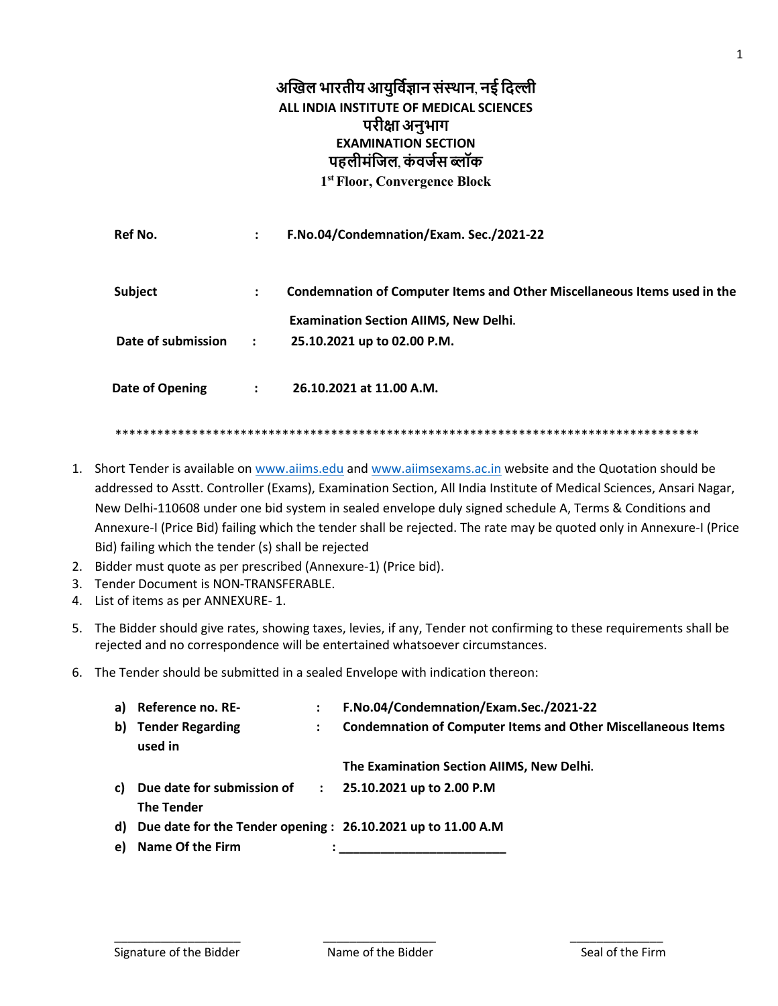## अखिल भारतीय आयुर्विज्ञान संस्थान, नई दिल्ली ALL INDIA INSTITUTE OF MEDICAL SCIENCES परीक्षा अनुभाग **EXAMINATION SECTION** पहलीमंजिल, कंवर्जस ब्लॉक 1st Floor, Convergence Block

|                      | F.No.04/Condemnation/Exam. Sec./2021-22                                  |
|----------------------|--------------------------------------------------------------------------|
| :                    | Condemnation of Computer Items and Other Miscellaneous Items used in the |
|                      | <b>Examination Section AIIMS, New Delhi.</b>                             |
| $\mathbf{r}$         | 25.10.2021 up to 02.00 P.M.                                              |
| $\ddot{\phantom{a}}$ | 26.10.2021 at 11.00 A.M.                                                 |
|                      |                                                                          |

- 1. Short Tender is available on www.aiims.edu and www.aiimsexams.ac.in website and the Quotation should be addressed to Asstt. Controller (Exams), Examination Section, All India Institute of Medical Sciences, Ansari Nagar, New Delhi-110608 under one bid system in sealed envelope duly signed schedule A, Terms & Conditions and Annexure-I (Price Bid) failing which the tender shall be rejected. The rate may be quoted only in Annexure-I (Price Bid) failing which the tender (s) shall be rejected
- 2. Bidder must quote as per prescribed (Annexure-1) (Price bid).
- 3. Tender Document is NON-TRANSFERABLE.
- 4. List of items as per ANNEXURE-1.
- 5. The Bidder should give rates, showing taxes, levies, if any, Tender not confirming to these requirements shall be rejected and no correspondence will be entertained whatsoever circumstances.
- 6. The Tender should be submitted in a sealed Envelope with indication thereon:

| a) Reference no. RE-                                                                   | F.No.04/Condemnation/Exam.Sec./2021-22                              |
|----------------------------------------------------------------------------------------|---------------------------------------------------------------------|
| b) Tender Regarding<br>used in                                                         | <b>Condemnation of Computer Items and Other Miscellaneous Items</b> |
|                                                                                        | The Examination Section AllMS, New Delhi.                           |
| c) Due date for submission of :<br><b>The Tender</b>                                   | 25.10.2021 up to 2.00 P.M                                           |
| d) Due date for the Tender opening : 26.10.2021 up to 11.00 A.M<br>e) Name Of the Firm |                                                                     |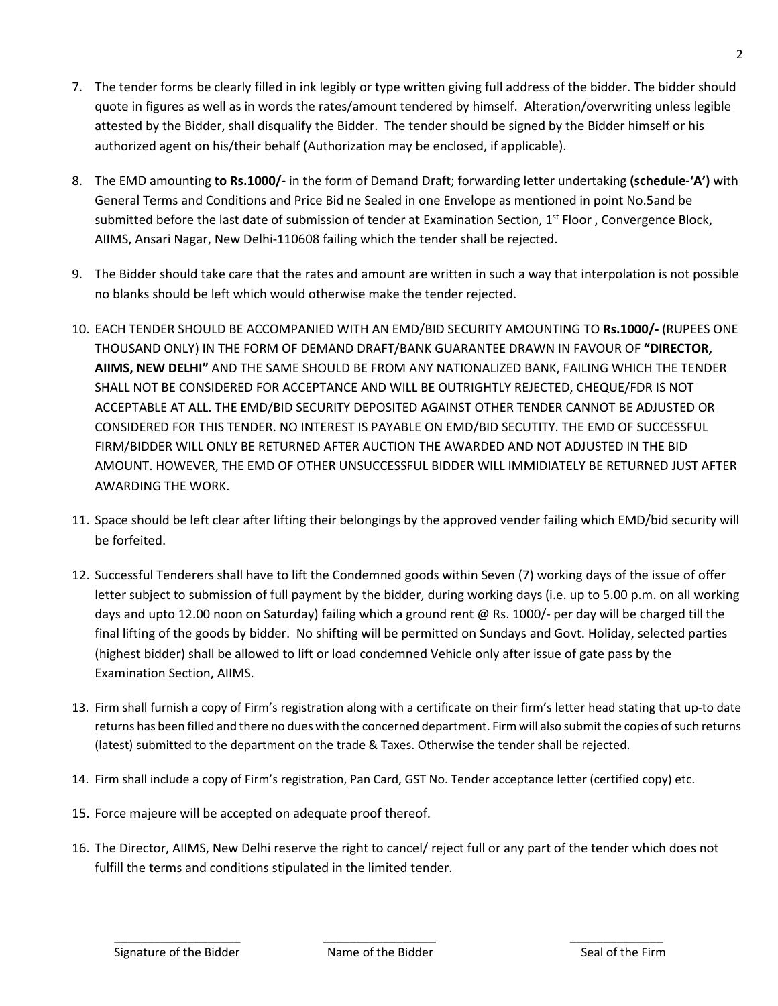- 7. The tender forms be clearly filled in ink legibly or type written giving full address of the bidder. The bidder should quote in figures as well as in words the rates/amount tendered by himself. Alteration/overwriting unless legible attested by the Bidder, shall disqualify the Bidder. The tender should be signed by the Bidder himself or his authorized agent on his/their behalf (Authorization may be enclosed, if applicable).
- 8. The EMD amounting **to Rs.1000/-** in the form of Demand Draft; forwarding letter undertaking **(schedule-'A')** with General Terms and Conditions and Price Bid ne Sealed in one Envelope as mentioned in point No.5and be submitted before the last date of submission of tender at Examination Section, 1<sup>st</sup> Floor, Convergence Block, AIIMS, Ansari Nagar, New Delhi-110608 failing which the tender shall be rejected.
- 9. The Bidder should take care that the rates and amount are written in such a way that interpolation is not possible no blanks should be left which would otherwise make the tender rejected.
- 10. EACH TENDER SHOULD BE ACCOMPANIED WITH AN EMD/BID SECURITY AMOUNTING TO **Rs.1000/-** (RUPEES ONE THOUSAND ONLY) IN THE FORM OF DEMAND DRAFT/BANK GUARANTEE DRAWN IN FAVOUR OF **"DIRECTOR, AIIMS, NEW DELHI"** AND THE SAME SHOULD BE FROM ANY NATIONALIZED BANK, FAILING WHICH THE TENDER SHALL NOT BE CONSIDERED FOR ACCEPTANCE AND WILL BE OUTRIGHTLY REJECTED, CHEQUE/FDR IS NOT ACCEPTABLE AT ALL. THE EMD/BID SECURITY DEPOSITED AGAINST OTHER TENDER CANNOT BE ADJUSTED OR CONSIDERED FOR THIS TENDER. NO INTEREST IS PAYABLE ON EMD/BID SECUTITY. THE EMD OF SUCCESSFUL FIRM/BIDDER WILL ONLY BE RETURNED AFTER AUCTION THE AWARDED AND NOT ADJUSTED IN THE BID AMOUNT. HOWEVER, THE EMD OF OTHER UNSUCCESSFUL BIDDER WILL IMMIDIATELY BE RETURNED JUST AFTER AWARDING THE WORK.
- 11. Space should be left clear after lifting their belongings by the approved vender failing which EMD/bid security will be forfeited.
- 12. Successful Tenderers shall have to lift the Condemned goods within Seven (7) working days of the issue of offer letter subject to submission of full payment by the bidder, during working days (i.e. up to 5.00 p.m. on all working days and upto 12.00 noon on Saturday) failing which a ground rent @ Rs. 1000/- per day will be charged till the final lifting of the goods by bidder. No shifting will be permitted on Sundays and Govt. Holiday, selected parties (highest bidder) shall be allowed to lift or load condemned Vehicle only after issue of gate pass by the Examination Section, AIIMS.
- 13. Firm shall furnish a copy of Firm's registration along with a certificate on their firm's letter head stating that up-to date returns has been filled and there no dues with the concerned department. Firm will also submit the copies of such returns (latest) submitted to the department on the trade & Taxes. Otherwise the tender shall be rejected.
- 14. Firm shall include a copy of Firm's registration, Pan Card, GST No. Tender acceptance letter (certified copy) etc.
- 15. Force majeure will be accepted on adequate proof thereof.
- 16. The Director, AIIMS, New Delhi reserve the right to cancel/ reject full or any part of the tender which does not fulfill the terms and conditions stipulated in the limited tender.

\_\_\_\_\_\_\_\_\_\_\_\_\_\_\_\_\_\_\_ \_\_\_\_\_\_\_\_\_\_\_\_\_\_\_\_\_ \_\_\_\_\_\_\_\_\_\_\_\_\_\_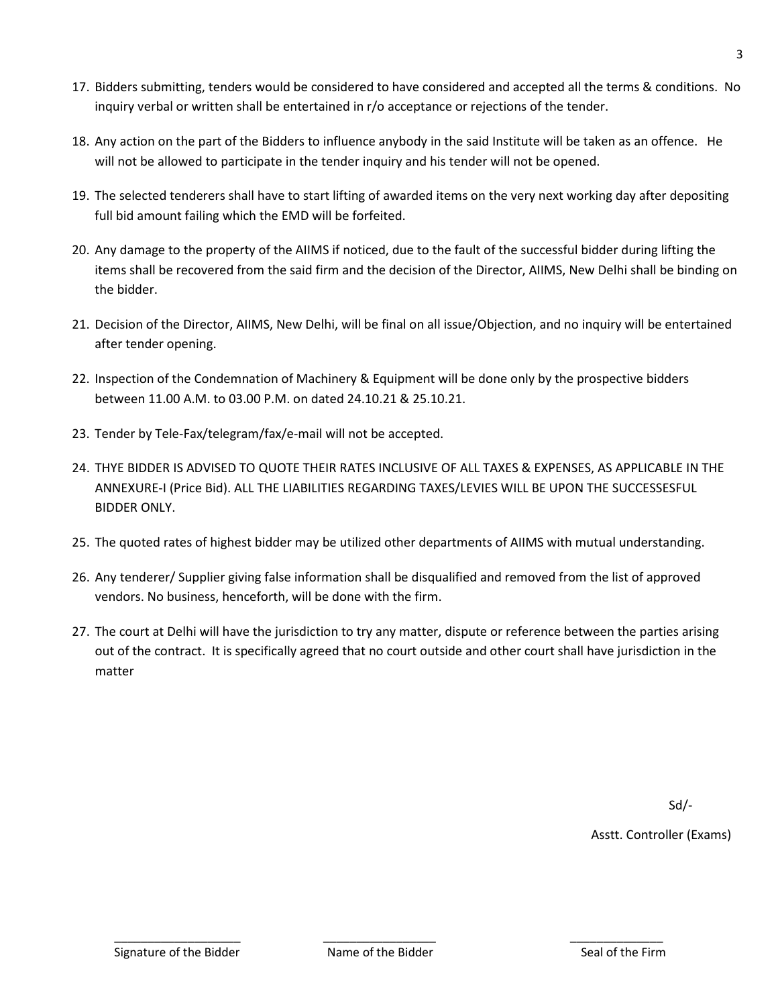- 17. Bidders submitting, tenders would be considered to have considered and accepted all the terms & conditions. No inquiry verbal or written shall be entertained in r/o acceptance or rejections of the tender.
- 18. Any action on the part of the Bidders to influence anybody in the said Institute will be taken as an offence. He will not be allowed to participate in the tender inquiry and his tender will not be opened.
- 19. The selected tenderers shall have to start lifting of awarded items on the very next working day after depositing full bid amount failing which the EMD will be forfeited.
- 20. Any damage to the property of the AIIMS if noticed, due to the fault of the successful bidder during lifting the items shall be recovered from the said firm and the decision of the Director, AIIMS, New Delhi shall be binding on the bidder.
- 21. Decision of the Director, AIIMS, New Delhi, will be final on all issue/Objection, and no inquiry will be entertained after tender opening.
- 22. Inspection of the Condemnation of Machinery & Equipment will be done only by the prospective bidders between 11.00 A.M. to 03.00 P.M. on dated 24.10.21 & 25.10.21.
- 23. Tender by Tele-Fax/telegram/fax/e-mail will not be accepted.
- 24. THYE BIDDER IS ADVISED TO QUOTE THEIR RATES INCLUSIVE OF ALL TAXES & EXPENSES, AS APPLICABLE IN THE ANNEXURE-I (Price Bid). ALL THE LIABILITIES REGARDING TAXES/LEVIES WILL BE UPON THE SUCCESSESFUL BIDDER ONLY.
- 25. The quoted rates of highest bidder may be utilized other departments of AIIMS with mutual understanding.
- 26. Any tenderer/ Supplier giving false information shall be disqualified and removed from the list of approved vendors. No business, henceforth, will be done with the firm.
- 27. The court at Delhi will have the jurisdiction to try any matter, dispute or reference between the parties arising out of the contract. It is specifically agreed that no court outside and other court shall have jurisdiction in the matter

Sd/-

Asstt. Controller (Exams)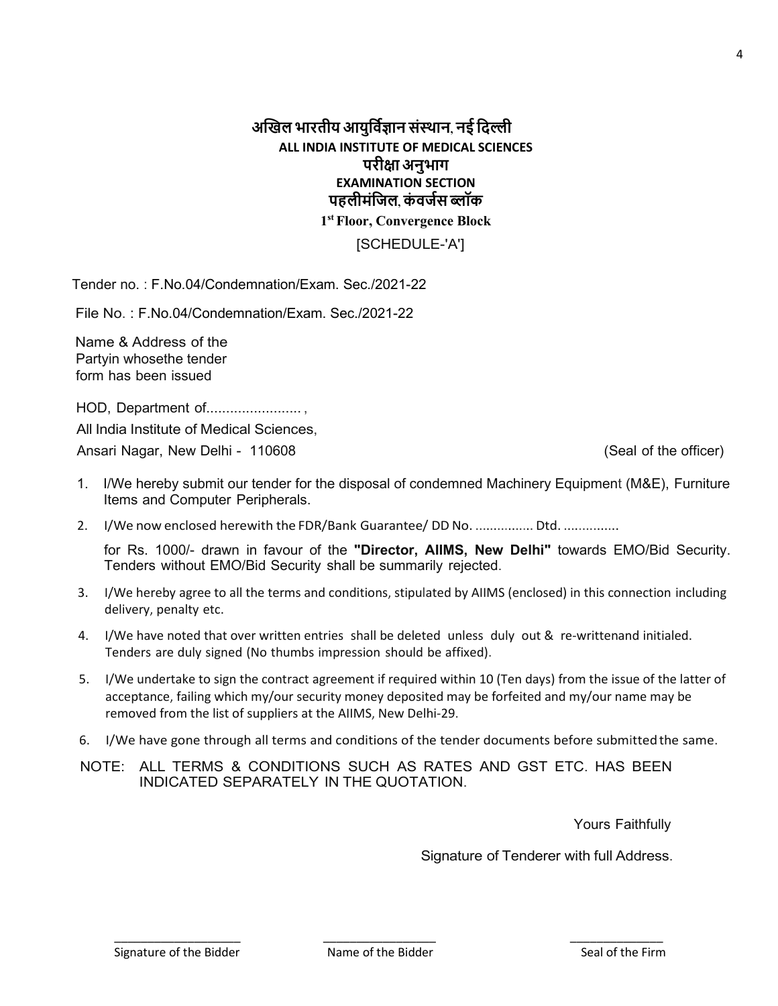Signature of the Bidder

**EXAMINATION SECTION** पहलीमंजिल, कंवर्जस ब्लॉक

1st Floor, Convergence Block

[SCHEDULE-'A']

Tender no.: F.No.04/Condemnation/Exam. Sec./2021-22

File No.: F.No.04/Condemnation/Exam. Sec./2021-22

Name & Address of the Partvin whosethe tender form has been issued

HOD, Department of........................

All India Institute of Medical Sciences.

Ansari Nagar, New Delhi - 110608

(Seal of the officer)

- 1. I/We hereby submit our tender for the disposal of condemned Machinery Equipment (M&E), Furniture Items and Computer Peripherals.
- 2. I/We now enclosed herewith the FDR/Bank Guarantee/ DD No. ................ Dtd. ...............

for Rs. 1000/- drawn in favour of the "Director, AllMS, New Delhi" towards EMO/Bid Security. Tenders without EMO/Bid Security shall be summarily rejected.

- 3. I/We hereby agree to all the terms and conditions, stipulated by AIIMS (enclosed) in this connection including delivery, penalty etc.
- 4. I/We have noted that over written entries shall be deleted unless duly out & re-writtenand initialed. Tenders are duly signed (No thumbs impression should be affixed).
- 5. I/We undertake to sign the contract agreement if required within 10 (Ten days) from the issue of the latter of acceptance, failing which my/our security money deposited may be forfeited and my/our name may be removed from the list of suppliers at the AIIMS, New Delhi-29.
- 6. I/We have gone through all terms and conditions of the tender documents before submitted the same.
- NOTE: ALL TERMS & CONDITIONS SUCH AS RATES AND GST ETC. HAS BEEN INDICATED SEPARATELY IN THE QUOTATION.

Yours Faithfully

Signature of Tenderer with full Address.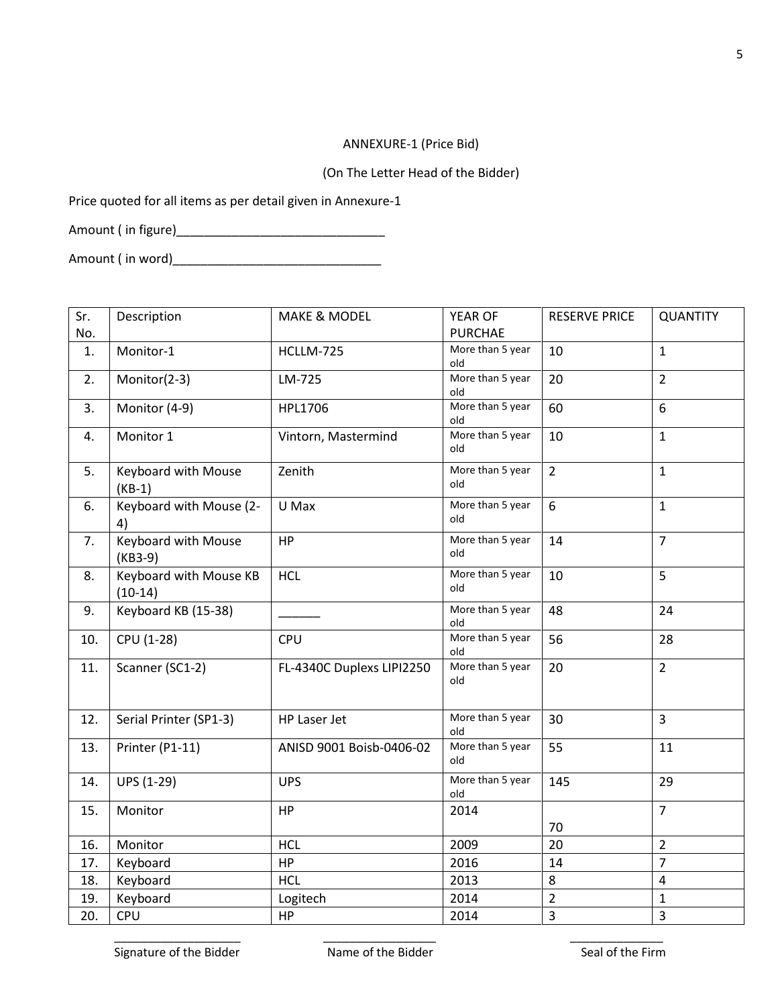## ANNEXURE-1 (Price Bid)

(On The Letter Head of the Bidder)

Price quoted for all items as per detail given in Annexure-1

Amount ( in figure)\_\_\_\_\_\_\_\_\_\_\_\_\_\_\_\_\_\_\_\_\_\_\_\_\_\_\_\_\_\_

Amount ( in word)\_\_\_\_\_\_\_\_\_\_\_\_\_\_\_\_\_\_\_\_\_\_\_\_\_\_\_\_\_\_

| Sr. | Description                         | <b>MAKE &amp; MODEL</b>   | YEAR OF                 | <b>RESERVE PRICE</b> | <b>QUANTITY</b> |
|-----|-------------------------------------|---------------------------|-------------------------|----------------------|-----------------|
| No. |                                     |                           | <b>PURCHAE</b>          |                      |                 |
| 1.  | Monitor-1                           | HCLLM-725                 | More than 5 year<br>old | 10                   | $\mathbf{1}$    |
| 2.  | Monitor(2-3)                        | LM-725                    | More than 5 year<br>old | 20                   | $\overline{2}$  |
| 3.  | Monitor (4-9)                       | HPL1706                   | More than 5 year<br>old | 60                   | 6               |
| 4.  | Monitor 1                           | Vintorn, Mastermind       | More than 5 year<br>old | 10                   | $\mathbf{1}$    |
| 5.  | Keyboard with Mouse<br>$(KB-1)$     | Zenith                    | More than 5 year<br>old | $\overline{2}$       | $\mathbf{1}$    |
| 6.  | Keyboard with Mouse (2-<br>4)       | U Max                     | More than 5 year<br>old | 6                    | $\mathbf{1}$    |
| 7.  | Keyboard with Mouse<br>(KB3-9)      | HP                        | More than 5 year<br>old | 14                   | $\overline{7}$  |
| 8.  | Keyboard with Mouse KB<br>$(10-14)$ | <b>HCL</b>                | More than 5 year<br>old | 10                   | 5               |
| 9.  | Keyboard KB (15-38)                 |                           | More than 5 year<br>old | 48                   | 24              |
| 10. | CPU (1-28)                          | <b>CPU</b>                | More than 5 year<br>old | 56                   | 28              |
| 11. | Scanner (SC1-2)                     | FL-4340C Duplexs LIPI2250 | More than 5 year<br>old | 20                   | $\overline{2}$  |
| 12. | Serial Printer (SP1-3)              | HP Laser Jet              | More than 5 year<br>old | 30                   | $\overline{3}$  |
| 13. | Printer (P1-11)                     | ANISD 9001 Boisb-0406-02  | More than 5 year<br>old | 55                   | 11              |
| 14. | <b>UPS (1-29)</b>                   | <b>UPS</b>                | More than 5 year<br>old | 145                  | 29              |
| 15. | Monitor                             | <b>HP</b>                 | 2014                    | 70                   | $\overline{7}$  |
| 16. | Monitor                             | <b>HCL</b>                | 2009                    | 20                   | $\overline{2}$  |
| 17. | Keyboard                            | HP                        | 2016                    | 14                   | $\overline{7}$  |
| 18. | Keyboard                            | <b>HCL</b>                | 2013                    | 8                    | $\overline{4}$  |
| 19. | Keyboard                            | Logitech                  | 2014                    | $\overline{2}$       | $\mathbf{1}$    |
| 20. | CPU                                 | <b>HP</b>                 | 2014                    | $\overline{3}$       | $\overline{3}$  |